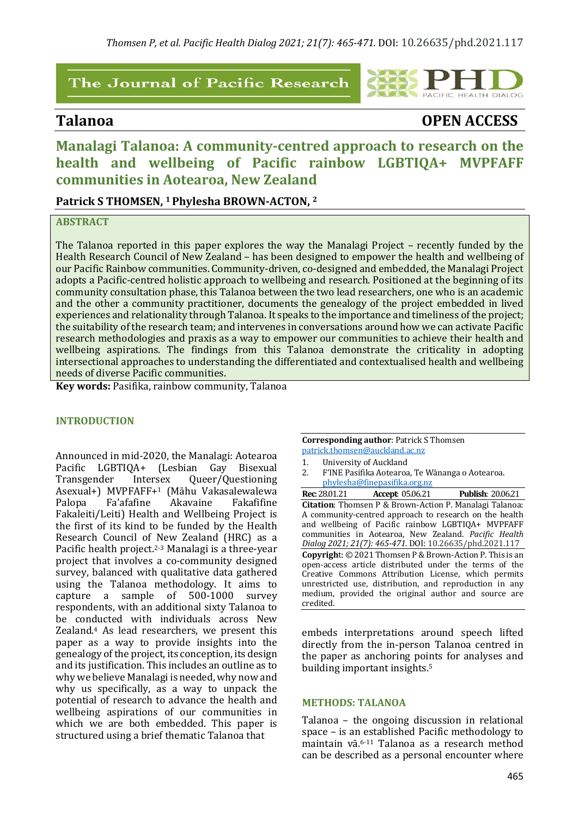# The Journal of Pacific Research

# **Talanoa OPEN ACCESS**

**DIALOG** 

# **Manalagi Talanoa: A community-centred approach to research on the health and wellbeing of Pacific rainbow LGBTIQA+ MVPFAFF communities in Aotearoa, New Zealand**

**Patrick S THOMSEN, 1Phylesha BROWN-ACTON, 2**

## **ABSTRACT**

The Talanoa reported in this paper explores the way the Manalagi Project - recently funded by the Health Research Council of New Zealand - has been designed to empower the health and wellbeing of our Pacific Rainbow communities. Community-driven, co-designed and embedded, the Manalagi Project adopts a Pacific-centred holistic approach to wellbeing and research. Positioned at the beginning of its community consultation phase, this Talanoa between the two lead researchers, one who is an academic and the other a community practitioner, documents the genealogy of the project embedded in lived experiences and relationality through Talanoa. It speaks to the importance and timeliness of the project; the suitability of the research team; and intervenes in conversations around how we can activate Pacific research methodologies and praxis as a way to empower our communities to achieve their health and wellbeing aspirations. The findings from this Talanoa demonstrate the criticality in adopting intersectional approaches to understanding the differentiated and contextualised health and wellbeing needs of diverse Pacific communities.

**Key words:** Pasifika, rainbow community, Talanoa

#### **INTRODUCTION**

Announced in mid-2020, the Manalagi: Aotearoa Pacific LGBTIQA+ (Lesbian Gay Bisexual Transgender Intersex Queer/Questioning Asexual+) MVPFAFF+1 (Māhu Vakasalewalewa Palopa Fa'afafine Akavaine Fakafifine Fakaleiti/Leiti) Health and Wellbeing Project is the first of its kind to be funded by the Health Research Council of New Zealand (HRC) as a Pacific health project.<sup>2-3</sup> Manalagi is a three-year project that involves a co-community designed survey, balanced with qualitative data gathered using the Talanoa methodology. It aims to capture a sample of 500-1000 survey respondents, with an additional sixty Talanoa to be conducted with individuals across New Zealand.<sup>4</sup> As lead researchers, we present this paper as a way to provide insights into the genealogy of the project, its conception, its design and its justification. This includes an outline as to why we believe Manalagi is needed, why now and why us specifically, as a way to unpack the potential of research to advance the health and wellbeing aspirations of our communities in which we are both embedded. This paper is structured using a brief thematic Talanoa that

| <b>Corresponding author: Patrick S Thomsen</b>                         |
|------------------------------------------------------------------------|
| patrick.thomsen@auckland.ac.nz                                         |
| 1.<br>University of Auckland                                           |
| 2.<br>F'INE Pasifika Aotearoa, Te Wānanga o Aotearoa.                  |
| phylesha@finepasifika.org.nz                                           |
| <b>Rec</b> : 28.01.21 <b>Accept:</b> 05.06.21 <b>Publish:</b> 20.06.21 |
| <b>Citation:</b> Thomsen P & Brown-Action P. Manalagi Talanoa:         |
| A community-centred approach to research on the health                 |
| and wellbeing of Pacific rainbow LGBTIQA+ MVPFAFF                      |
| communities in Aotearoa, New Zealand. Pacific Health                   |
| Dialog 2021; 21(7): 465-471. DOI: 10.26635/phd.2021.117                |
| Copyright: © 2021 Thomsen P & Brown-Action P. This is an               |
| open-access article distributed under the terms of the                 |
| Creative Commons Attribution License, which permits                    |
| unrestricted use, distribution, and reproduction in any                |
| medium, provided the original author and source are                    |
| credited.                                                              |

embeds interpretations around speech lifted directly from the in-person Talanoa centred in the paper as anchoring points for analyses and building important insights.<sup>5</sup>

#### **METHODS: TALANOA**

Talanoa  $-$  the ongoing discussion in relational space  $-$  is an established Pacific methodology to maintain vā.<sup>6-11</sup> Talanoa as a research method can be described as a personal encounter where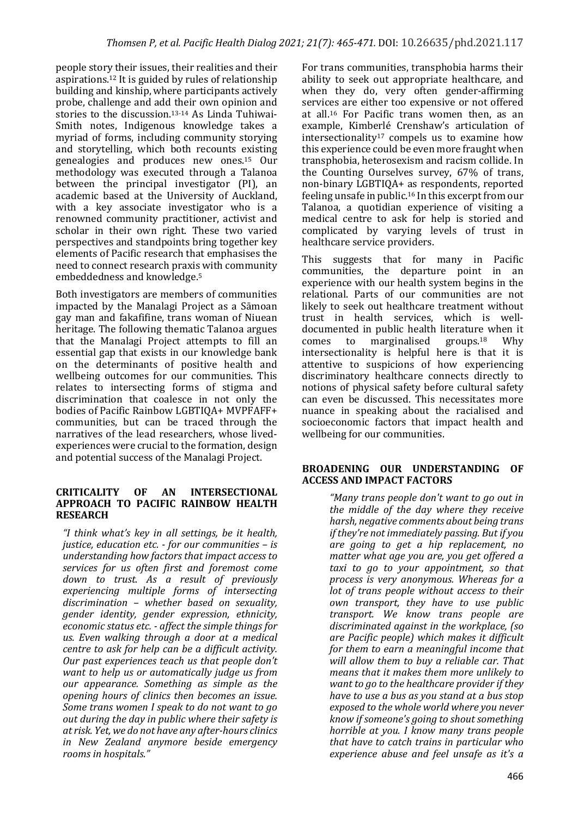people story their issues, their realities and their aspirations.<sup>12</sup> It is guided by rules of relationship building and kinship, where participants actively probe, challenge and add their own opinion and stories to the discussion.<sup>13-14</sup> As Linda Tuhiwai-Smith notes, Indigenous knowledge takes a myriad of forms, including community storying and storytelling, which both recounts existing genealogies and produces new ones.15 Our methodology was executed through a Talanoa between the principal investigator (PI), an academic based at the University of Auckland, with a key associate investigator who is a renowned community practitioner, activist and scholar in their own right. These two varied perspectives and standpoints bring together key elements of Pacific research that emphasises the need to connect research praxis with community embeddedness and knowledge.<sup>5</sup>

Both investigators are members of communities impacted by the Manalagi Project as a Sāmoan gay man and fakafifine, trans woman of Niuean heritage. The following thematic Talanoa argues that the Manalagi Project attempts to fill an essential gap that exists in our knowledge bank on the determinants of positive health and wellbeing outcomes for our communities. This relates to intersecting forms of stigma and discrimination that coalesce in not only the bodies of Pacific Rainbow LGBTIOA+ MVPFAFF+ communities, but can be traced through the narratives of the lead researchers, whose livedexperiences were crucial to the formation, design and potential success of the Manalagi Project.

#### **CRITICALITY OF AN INTERSECTIONAL APPROACH TO PACIFIC RAINBOW HEALTH RESEARCH**

*"I think what's key in all settings, be it health, justice, education etc. - for our communities – is understanding how factors that impact access to services for us often first and foremost come*  down to trust. As a result of previously experiencing multiple forms of intersecting discrimination - whether based on sexuality. *gender identity, gender expression, ethnicity, economic status etc. - affect the simple things for* us. Even walking through a door at a medical *centre to ask for help can be a difficult activity. Our past experiences teach us that people don't want to help us or automatically judge us from our appearance. Something as simple as the opening hours of clinics then becomes an issue. Some trans women I speak to do not want to go out during the day in public where their safety is at risk. Yet, we do not have any after-hours clinics in New Zealand anymore beside emergency rooms in hospitals."* 

For trans communities, transphobia harms their ability to seek out appropriate healthcare, and when they do, very often gender-affirming services are either too expensive or not offered at all.<sup>16</sup> For Pacific trans women then, as an example, Kimberlé Crenshaw's articulation of intersectionality<sup>17</sup> compels us to examine how this experience could be even more fraught when transphobia, heterosexism and racism collide. In the Counting Ourselves survey, 67% of trans, non-binary LGBTIQA+ as respondents, reported feeling unsafe in public.<sup>16</sup> In this excerpt from our Talanoa, a quotidian experience of visiting a medical centre to ask for help is storied and complicated by varying levels of trust in healthcare service providers.

This suggests that for many in Pacific communities, the departure point in an experience with our health system begins in the relational. Parts of our communities are not likely to seek out healthcare treatment without trust in health services, which is welldocumented in public health literature when it comes to marginalised groups.18 Why intersectionality is helpful here is that it is attentive to suspicions of how experiencing discriminatory healthcare connects directly to notions of physical safety before cultural safety can even be discussed. This necessitates more nuance in speaking about the racialised and socioeconomic factors that impact health and wellbeing for our communities.

### BROADENING OUR UNDERSTANDING OF **ACCESS AND IMPACT FACTORS**

*"Many trans people don't want to go out in the middle of the day where they receive* harsh, negative comments about being trans *if they're not immediately passing. But if you are going to get a hip replacement, no matter* what age you are, you get offered a *taxi* to go to your appointment, so that *process is very anonymous. Whereas for a lot of trans people without access to their own transport, they have to use public transport. We know trans people are*  discriminated against in the workplace, (so *are Pacific people) which makes it difficult for them to earn a meaningful income that will allow them to buy a reliable car. That means that it makes them more unlikely to want to go to the healthcare provider if they have to use a bus as you stand at a bus stop exposed to the whole world where you never know if someone's going to shout something horrible at you. I know many trans people that have to catch trains in particular who experience abuse and feel unsafe as it's a*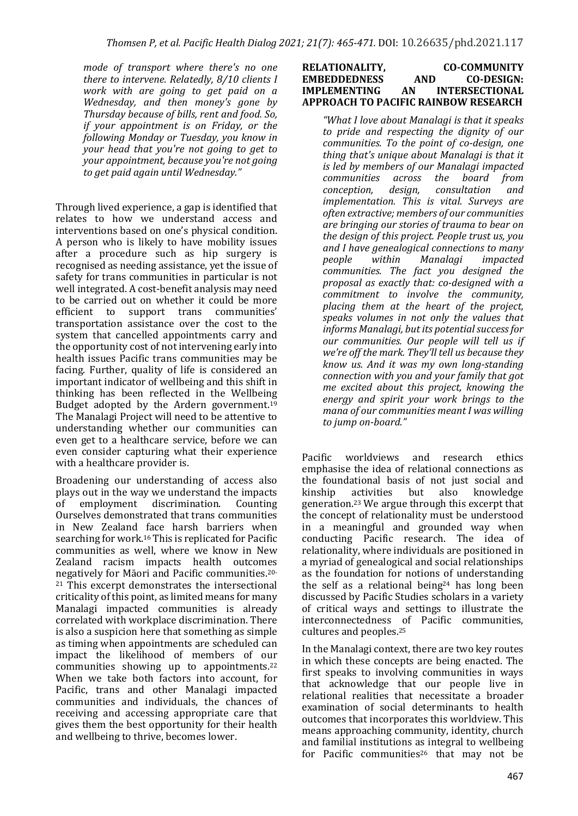*mode of transport where there's no one* there to intervene. Relatedly, 8/10 clients I *work with are going to get paid on a Wednesday, and then money's gone by Thursday because of bills, rent and food. So, if* your appointment is on Friday, or the *following Monday or Tuesday, you know in your* head that you're not going to get to *your appointment, because you're not going to get paid again until Wednesday."*

Through lived experience, a gap is identified that relates to how we understand access and interventions based on one's physical condition. A person who is likely to have mobility issues after a procedure such as hip surgery is recognised as needing assistance, yet the issue of safety for trans communities in particular is not well integrated. A cost-benefit analysis may need to be carried out on whether it could be more<br>efficient to support trans communities' efficient to support trans transportation assistance over the cost to the system that cancelled appointments carry and the opportunity cost of not intervening early into health issues Pacific trans communities may be facing. Further, quality of life is considered an important indicator of wellbeing and this shift in thinking has been reflected in the Wellbeing Budget adopted by the Ardern government.<sup>19</sup> The Manalagi Project will need to be attentive to understanding whether our communities can even get to a healthcare service, before we can even consider capturing what their experience with a healthcare provider is.

Broadening our understanding of access also plays out in the way we understand the impacts<br>of employment discrimination. Counting of employment discrimination. Counting Ourselves demonstrated that trans communities in New Zealand face harsh barriers when searching for work.<sup>16</sup> This is replicated for Pacific communities as well, where we know in New Zealand racism impacts health outcomes negatively for Māori and Pacific communities.<sup>20-</sup>  $21$  This excerpt demonstrates the intersectional criticality of this point, as limited means for many Manalagi impacted communities is already correlated with workplace discrimination. There is also a suspicion here that something as simple as timing when appointments are scheduled can impact the likelihood of members of our communities showing up to appointments.<sup>22</sup> When we take both factors into account, for Pacific, trans and other Manalagi impacted communities and individuals, the chances of receiving and accessing appropriate care that gives them the best opportunity for their health and wellbeing to thrive, becomes lower.

#### RELATIONALITY, CO-COMMUNITY **EMBEDDEDNESS** AND CO-DESIGN: **IMPLEMENTING AN INTERSECTIONAL APPROACH TO PACIFIC RAINBOW RESEARCH**

"What I love about Manalagi is that it speaks to pride and respecting the dignity of our *communities.* To the point of co-design, one *thing that's unique about Manalagi is that it is led by members of our Manalagi impacted communities across the board from across* the *board* from *conception, design, consultation and implementation.* This is vital. Surveys are *often extractive; members of our communities*  are bringing our stories of trauma to bear on *the design of this project. People trust us, you* and I have genealogical connections to many *people within Manalagi impacted communities. The fact you designed the proposal as exactly that: co-designed with a commitment* to *involve* the *community*, placing them at the heart of the project, speaks volumes in not only the values that informs Manalagi, but its potential success for our communities. Our people will tell us if we're off the mark. They'll tell us because they *know us. And it was my own long-standing connection with you and your family that got me excited about this project, knowing the* energy and spirit your work brings to the *mana of our communities meant I was willing to jump on-board."*

Pacific worldviews and research ethics emphasise the idea of relational connections as the foundational basis of not just social and kinship activities but also knowledge generation.<sup>23</sup> We argue through this excerpt that the concept of relationality must be understood in a meaningful and grounded way when conducting Pacific research. The idea of relationality, where individuals are positioned in a myriad of genealogical and social relationships as the foundation for notions of understanding the self as a relational being<sup>24</sup> has long been discussed by Pacific Studies scholars in a variety of critical ways and settings to illustrate the interconnectedness of Pacific communities, cultures and peoples.<sup>25</sup>

In the Manalagi context, there are two key routes in which these concepts are being enacted. The first speaks to involving communities in ways that acknowledge that our people live in relational realities that necessitate a broader examination of social determinants to health outcomes that incorporates this worldview. This means approaching community, identity, church and familial institutions as integral to wellbeing for Pacific communities<sup>26</sup> that may not be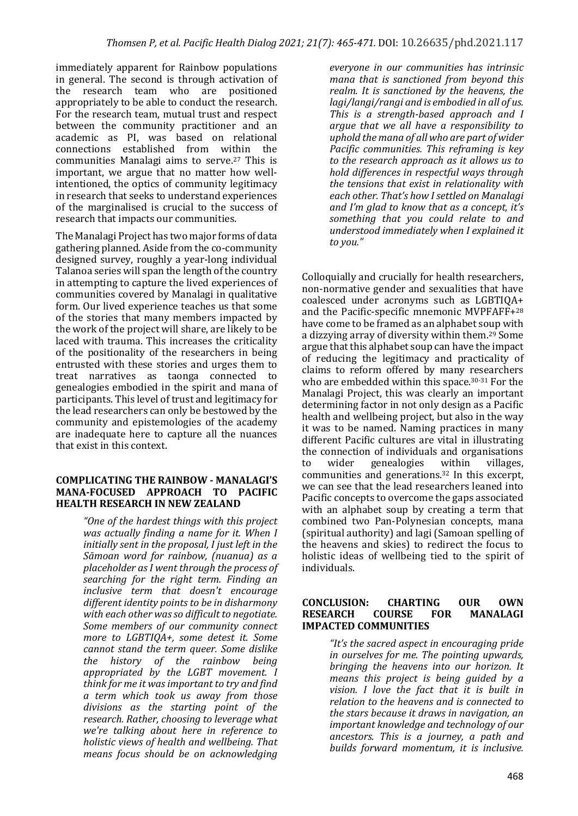immediately apparent for Rainbow populations in general. The second is through activation of the research team who are positioned appropriately to be able to conduct the research. For the research team, mutual trust and respect between the community practitioner and an academic as PI, was based on relational connections established from within the communities Manalagi aims to serve.<sup>27</sup> This is important, we argue that no matter how wellintentioned, the optics of community legitimacy in research that seeks to understand experiences of the marginalised is crucial to the success of research that impacts our communities.

The Manalagi Project has two major forms of data gathering planned. Aside from the co-community designed survey, roughly a year-long individual Talanoa series will span the length of the country in attempting to capture the lived experiences of communities covered by Manalagi in qualitative form. Our lived experience teaches us that some of the stories that many members impacted by the work of the project will share, are likely to be laced with trauma. This increases the criticality of the positionality of the researchers in being entrusted with these stories and urges them to treat narratives as taonga connected to genealogies embodied in the spirit and mana of participants. This level of trust and legitimacy for the lead researchers can only be bestowed by the community and epistemologies of the academy are inadequate here to capture all the nuances that exist in this context.

#### **COMPLICATING THE RAINBOW - MANALAGI'S MANA-FOCUSED APPROACH TO PACIFIC HEALTH RESEARCH IN NEW ZEALAND**

*"One of the hardest things with this project was actually finding a name for it. When I initially sent in the proposal, I just left in the Sāmoan word for rainbow, (nuanua) as a*  placeholder as I went through the process of *searching for the right term. Finding an inclusive term that doesn't encourage*  different *identity points to be in disharmony* with each other was so difficult to negotiate. *Some members of our community connect more to LGBTIQA+, some detest it. Some cannot stand the term queer.* Some dislike *the history of the rainbow being appropriated by the LGBT movement. I think* for me it was important to try and find *a term which took us away from those*  divisions as the starting point of the *research. Rather, choosing to leverage what we're talking about here in reference to holistic* views of health and wellbeing. That *means focus should be on acknowledging* 

*everyone in our communities has intrinsic mana that is sanctioned from beyond this realm.* It is sanctioned by the heavens, the *lagi/langi/rangi and is embodied in all of us. This is a strength-based approach and I argue that we all have a responsibility to* uphold the mana of all who are part of wider *Pacific communities. This reframing is key* to the research approach as it allows us to *hold differences in respectful ways through the tensions that exist in relationality with* each other. That's how I settled on Manalagi and I'm glad to know that as a concept, it's something that you could relate to and *understood immediately when I explained it to you."*

Colloquially and crucially for health researchers, non-normative gender and sexualities that have coalesced under acronyms such as LGBTIQA+ and the Pacific-specific mnemonic MVPFAFF+28 have come to be framed as an alphabet soup with a dizzying array of diversity within them.<sup>29</sup> Some argue that this alphabet soup can have the impact of reducing the legitimacy and practicality of claims to reform offered by many researchers who are embedded within this space.<sup>30-31</sup> For the Manalagi Project, this was clearly an important determining factor in not only design as a Pacific health and wellbeing project, but also in the way it was to be named. Naming practices in many different Pacific cultures are vital in illustrating the connection of individuals and organisations to wider genealogies within villages, communities and generations.<sup>32</sup> In this excerpt, we can see that the lead researchers leaned into Pacific concepts to overcome the gaps associated with an alphabet soup by creating a term that combined two Pan-Polynesian concepts, mana (spiritual authority) and lagi (Samoan spelling of the heavens and skies) to redirect the focus to holistic ideas of wellbeing tied to the spirit of individuals.

#### **CONCLUSION: CHARTING OUR OWN RESEARCH COURSE FOR MANALAGI IMPACTED COMMUNITIES**

*"It's the sacred aspect in encouraging pride in ourselves for me. The pointing upwards, bringing the heavens into our horizon. It means* this project is being guided by a vision. *I* love the fact that it is built in *relation to the heavens and is connected to the stars because it draws in navigation, an important knowledge and technology of our ancestors.* This is a journey, a path and *builds forward momentum, it is inclusive.*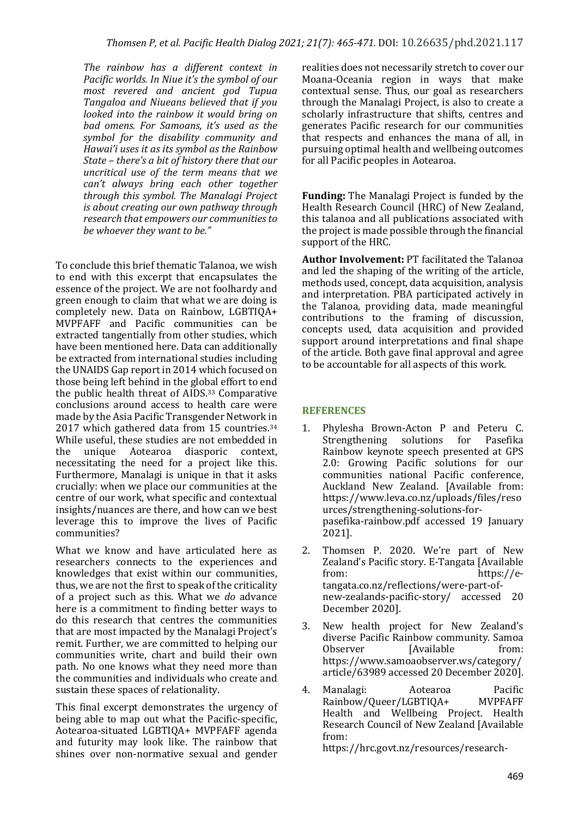The rainbow has a different context in *Pacific* worlds. In Niue it's the symbol of our *most revered and ancient god Tupua Tangaloa and Niueans believed that if you looked into the rainbow it would bring on* bad omens. For Samoans, it's used as the symbol for the disability community and *Hawai'i uses it as its symbol as the Rainbow State* – *there's a bit of history there that our uncritical use of the term means that we*  can't always bring each other together *through this symbol. The Manalagi Project is about creating our own pathway through* research that empowers our communities to be whoever they want to be."

To conclude this brief thematic Talanoa, we wish to end with this excerpt that encapsulates the essence of the project. We are not foolhardy and green enough to claim that what we are doing is completely new. Data on Rainbow, LGBTIQA+ MVPFAFF and Pacific communities can be extracted tangentially from other studies, which have been mentioned here. Data can additionally be extracted from international studies including the UNAIDS Gap report in 2014 which focused on those being left behind in the global effort to end the public health threat of AIDS.<sup>33</sup> Comparative conclusions around access to health care were made by the Asia Pacific Transgender Network in 2017 which gathered data from  $15$  countries.<sup>34</sup> While useful, these studies are not embedded in the unique Aotearoa diasporic context, necessitating the need for a project like this. Furthermore, Manalagi is unique in that it asks crucially: when we place our communities at the centre of our work, what specific and contextual insights/nuances are there, and how can we best leverage this to improve the lives of Pacific communities?

What we know and have articulated here as researchers connects to the experiences and knowledges that exist within our communities, thus, we are not the first to speak of the criticality of a project such as this. What we *do* advance here is a commitment to finding better ways to do this research that centres the communities that are most impacted by the Manalagi Project's remit. Further, we are committed to helping our communities write, chart and build their own path. No one knows what they need more than the communities and individuals who create and sustain these spaces of relationality.

This final excerpt demonstrates the urgency of being able to map out what the Pacific-specific, Aotearoa-situated LGBTIQA+ MVPFAFF agenda and futurity may look like. The rainbow that shines over non-normative sexual and gender

realities does not necessarily stretch to cover our Moana-Oceania region in ways that make contextual sense. Thus, our goal as researchers through the Manalagi Project, is also to create a scholarly infrastructure that shifts, centres and generates Pacific research for our communities that respects and enhances the mana of all, in pursuing optimal health and wellbeing outcomes for all Pacific peoples in Aotearoa.

**Funding:** The Manalagi Project is funded by the Health Research Council (HRC) of New Zealand, this talanoa and all publications associated with the project is made possible through the financial support of the HRC.

Author Involvement: PT facilitated the Talanoa and led the shaping of the writing of the article, methods used, concept, data acquisition, analysis and interpretation. PBA participated actively in the Talanoa, providing data, made meaningful contributions to the framing of discussion, concepts used, data acquisition and provided support around interpretations and final shape of the article. Both gave final approval and agree to be accountable for all aspects of this work.

## **REFERENCES**

- 1. Phylesha Brown-Acton P and Peteru C. Strengthening solutions for Pasefika Rainbow keynote speech presented at GPS 2.0: Growing Pacific solutions for our communities national Pacific conference, Auckland New Zealand. [Available from: https://www.leva.co.nz/uploads/files/reso urces/strengthening-solutions-forpasefika-rainbow.pdf accessed 19 January 2021].
- 2. Thomsen P. 2020. We're part of New Zealand's Pacific story. E-Tangata [Available from: https://etangata.co.nz/reflections/were-part-ofnew-zealands-pacific-story/ accessed 20 December 2020].
- 3. New health project for New Zealand's diverse Pacific Rainbow community. Samoa Observer [Available from: https://www.samoaobserver.ws/category/ article/63989 accessed 20 December 2020].
- 4. Manalagi: Aotearoa Pacific Rainbow/Queer/LGBTIQA+ MVPFAFF Health and Wellbeing Project. Health Research Council of New Zealand [Available from:

https://hrc.govt.nz/resources/research-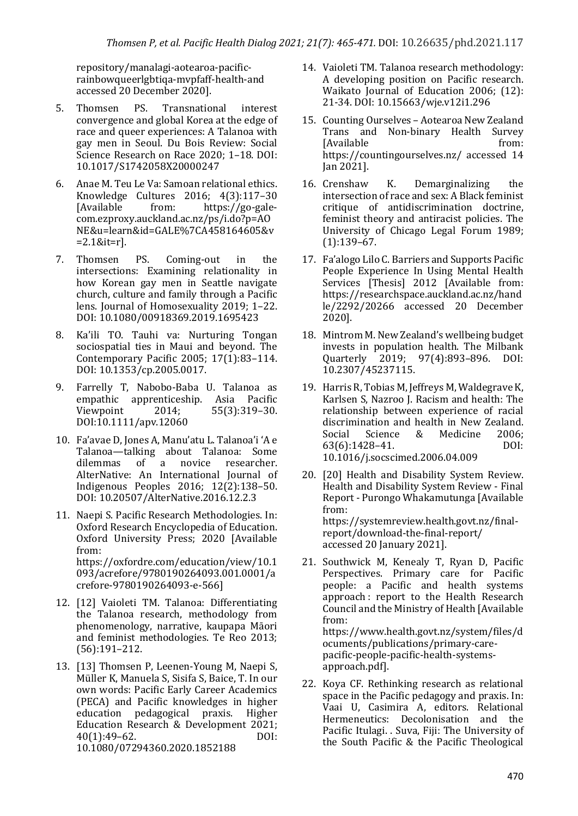repository/manalagi-aotearoa-pacificrainbowqueerlgbtiqa-mvpfaff-health-and accessed 20 December 2020].

- 5. Thomsen PS. Transnational interest convergence and global Korea at the edge of race and queer experiences: A Talanoa with gay men in Seoul. Du Bois Review: Social Science Research on Race 2020: 1-18. DOI: 10.1017/S1742058X20000247
- 6. Anae M. Teu Le Va: Samoan relational ethics. Knowledge Cultures 2016; 4(3):117–30 [Available from: https://go-galecom.ezproxy.auckland.ac.nz/ps/i.do?p=AO NE&u=learn&id=GALE%7CA458164605&v =2.1&it=r].
- 7. Thomsen PS. Coming-out in the intersections: Examining relationality in how Korean gay men in Seattle navigate church, culture and family through a Pacific lens. Journal of Homosexuality 2019; 1-22. DOI: 10.1080/00918369.2019.1695423
- 8. Ka'ili TO. Tauhi va: Nurturing Tongan sociospatial ties in Maui and beyond. The Contemporary Pacific 2005; 17(1):83-114. DOI: 10.1353/cp.2005.0017.
- 9. Farrelly T, Nabobo-Baba U. Talanoa as empathic apprenticeship. Asia Pacific Viewpoint 2014; 55(3):319-30. DOI:10.1111/apv.12060
- 10. Fa'avae D, Jones A, Manu'atu L. Talanoa'i 'A e Talanoa—talking about Talanoa: Some<br>
dilemmas of a novice researcher. dilemmas of a novice researcher. AlterNative: An International Journal of Indigenous Peoples 2016; 12(2):138–50. DOI: 10.20507/AlterNative.2016.12.2.3
- 11. Naepi S. Pacific Research Methodologies. In: Oxford Research Encyclopedia of Education. Oxford University Press; 2020 [Available from: https://oxfordre.com/education/view/10.1 093/acrefore/9780190264093.001.0001/a crefore-9780190264093-e-566]
- 12. [12] Vaioleti TM. Talanoa: Differentiating the Talanoa research, methodology from phenomenology, narrative, kaupapa Māori and feminist methodologies. Te Reo 2013; (56):191–212.
- 13. [13] Thomsen P. Leenen-Young M. Naepi S. Müller K, Manuela S, Sisifa S, Baice, T. In our own words: Pacific Early Career Academics (PECA) and Pacific knowledges in higher education pedagogical praxis. Higher Education Research & Development 2021; 40(1):49–62. DOI: 10.1080/07294360.2020.1852188
- 14. Vaioleti TM. Talanoa research methodology: A developing position on Pacific research. Waikato Journal of Education 2006; (12): 21-34. DOI: 10.15663/wje.v12i1.296
- 15. Counting Ourselves Aotearoa New Zealand Trans and Non-binary Health Survey [Available from: https://countingourselves.nz/ accessed 14 Jan 2021].
- 16. Crenshaw K. Demarginalizing the intersection of race and sex: A Black feminist critique of antidiscrimination doctrine, feminist theory and antiracist policies. The University of Chicago Legal Forum 1989; (1):139–67.
- 17. Fa'alogo Lilo C. Barriers and Supports Pacific People Experience In Using Mental Health Services [Thesis] 2012 [Available from: https://researchspace.auckland.ac.nz/hand le/2292/20266 accessed 20 December 2020].
- 18. Mintrom M. New Zealand's wellbeing budget invests in population health. The Milbank Quarterly 2019; 97(4):893–896. DOI: 10.2307/45237115.
- 19. Harris R, Tobias M, Jeffreys M, Waldegrave K, Karlsen S, Nazroo J. Racism and health: The relationship between experience of racial discrimination and health in New Zealand. Social Science & Medicine 2006; 63(6):1428–41. DOI: 10.1016/j.socscimed.2006.04.009
- 20. [20] Health and Disability System Review. Health and Disability System Review - Final Report - Purongo Whakamutunga [Available from: https://systemreview.health.govt.nz/finalreport/download-the-final-report/ accessed 20 January 2021].
- 21. Southwick M, Kenealy T, Ryan D, Pacific Perspectives. Primary care for Pacific people: a Pacific and health systems approach : report to the Health Research Council and the Ministry of Health [Available from: https://www.health.govt.nz/system/files/d ocuments/publications/primary-carepacific-people-pacific-health-systemsapproach.pdf].
- 22. Koya CF. Rethinking research as relational space in the Pacific pedagogy and praxis. In: Vaai U, Casimira A, editors. Relational Hermeneutics: Decolonisation and the Pacific Itulagi. . Suva, Fiji: The University of the South Pacific  $&$  the Pacific Theological